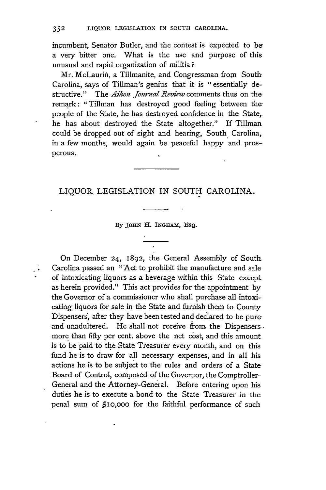incumbent, Senator Butler, and the contest is expected to bea very bitter one. What is the use and purpose of this unusual and rapid organization of militia?

Mr. McLaurin, a Tillmanite, and Congressman from South. Carolina, says of Tillman's genius that it is "essentially destructive." The *Aikon Journal Review* comments thus on theremark: "Tillman has destroyed good feeling between the people of the State, he has destroyed confidence in the State,. he has about destroyed the State altogether." If Tillman could be dropped out of sight and hearing, South Carolina, in a few months, would again be peaceful happy and prosperous.

## LIQUOR. LEGISLATION IN SOUTH CAROLINA..

## By JOHN H. INGHAM, ESQ.

On December *24,* 1892, the General Assembly of South Carolina passed an "Act to prohibit the manufacture and sale of intoxicating liquors as a beverage within this State except as herein provided." This act provides for the appointment by the Governor of a commissioner who shall purchase all intoxicating liquors for sale in the State and furnish them to County Dispensers', after they have been tested and declared to be pure and unadultered. He shall not receive from the Dispensers. more than fifty per cent. above the net cost, and this amount is to be paid to the State Treasurer every month, and on this fund he is to draw for all necessary expenses, and in all his actions he is to be subject to the rules and orders of a State Board of Control, composed of the Governor, the Comptroller-General and the Attorney-General. Before entering upon his duties he is to execute a bond to the State Treasurer in the penal sum of \$10,000 for the faithful performance of such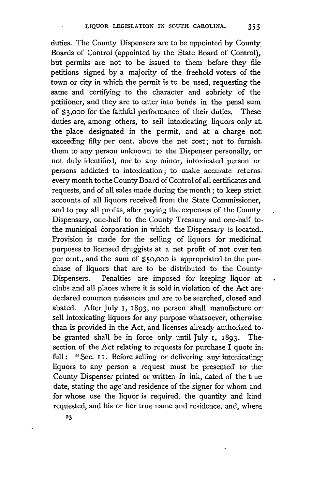duties. The County Dispensers are to be appointed by County. Boards of Control (appointed by the State Board of Control), but permits are not to be issued to them before they file petitions signed by a majority of the freehold voters of the town or city in which the permit is to be used, requesting the same and certifying to the character and sobriety of the petitioner, and they are to enter into bonds in the penal sum of \$3,0oo for the faithful performance of their duties. These duties are, among others, to sell intoxicating liquors only at the place designated in the permit, and at a charge not: exceeding fifty per cent. above the net cost; not to furnish, them to any person unknown to the Dispenser personally, ornot duly identified, nor to any minor, intoxicated person or persons addicted to intoxication; to make accurate returns. every month to the County Board of Control of all certificates and requests, and of all sales made during the month; to keep strict accounts of all liquors received from the State Commissioner, and to pay all profits, after paying the expenses of the County Dispensary, one-half to the County Treasury and one-half to. the municipal corporation in which the Dispensary is located.. Provision is made for the selling of liquors for medicinal purposes to licensed druggists at a net profit of not over ten per cent., and the sum of \$50,000 is appropriated to the purchase of liquors that are to be distributed to the County-Dispensers. Penalties are imposed for keeping liquor at clubs and all places where it is sold in violation of the Act aredeclared common nuisances and are to be searched, closed and abated. After July **I,** 1893, no person shall manufacture orsell intoxicating liquors for any purpose whatsoever, otherwise than is provided in the Act, and licenses already authorized to. be granted shall be in force only until July 1, 1893. The. section of the Act relating to requests for purchase I quote int full: "Sec. II. Before selling or delivering any intoxicatingliquors to any person a request must be presented to the. County Dispenser printed or written in ink, dated of the true date, stating the age and residence of the signer for whom and for whose use the liquor is required, the quantity and kind requested, and his or her true name and residence, and, where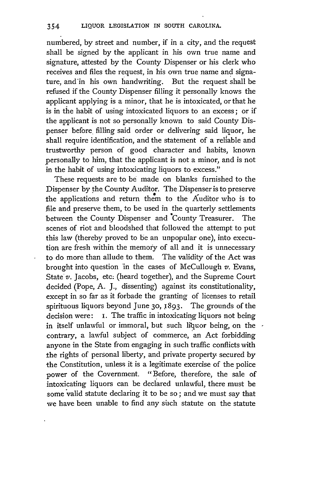numbered, by street and number, if in a city, and the request shall be signed by the applicant in his own true name and signature, attested by the County Dispenser or his clerk who receives and files the request, in his own true name and signature, and'in his own handwriting. But the request shall be refused if the County Dispenser filling it personally knows the applicant applying is a minor, that he is intoxicated, or that he is in the habit of using intoxicated liquors to an excess; or if the applicant is not so personally known to said County Dispenser before, filling said order or delivering said liquor, he shall require identification, and the statement of a reliable and trustworthy person of good character and habits, known personally to him, that the applicant is not a minor, and is not in the habit of using intoxicating liquors to excess."

These requests are to be made on blanks furnished to the Dispenser by the County Auditor. The Dispenser is to preserve the applications and return them to the Auditor who is to file and preserve them, to be used in the quarterly settlements between the County Dispenser and County Treasurer. The scenes of riot and bloodshed that followed the attempt to put this law (thereby proved to be an unpopular one), into execution are fresh within the memory of all and it is unnecessary to do more than allude to them. The validity of the Act was brought into question in the cases of McCullough  $v$ . Evans, State v. Jacobs, etc. (heard together), and the Supreme Court decided (Pope, A. J., dissenting) against its constitutionality, except in so far as it forbade the granting of licenses to retail spirituous liquors beyond June **30,** 1893. The grounds of the decision were: I. The traffic in intoxicating liquors not being in itself unlawful or immoral, but such liquor being, on the contrary, a lawful subject of commerce, an Act forbidding anyone in the State from engaging in such traffic conflicts with the rights of personal liberty, and private property secured by the Constitution, unless it is a legitimate exercise of the police power of the Covernment. "Before, therefore, the sale of intoxicating liquors can be declared unlawful, there must be some valid statute declaring it to be so; and we must say that we have been unable to find any such statute on the statute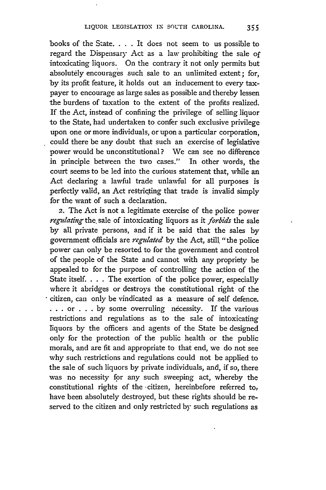books of the State. . **.** . It does not seem to us possible to regard the Dispensary Act as a law prohibiting the sale of intoxicating liquors. On the contrary it not only permits but absolutely encourages such sale to an unlimited extent; for, by its profit feature, it holds out an inducement to every taxpayer to encourage as large sales as possible and thereby lessen the burdens of taxation to the extent of the profits realized. If the Act, instead of confining the privilege of selling liquor to the State, had undertaken to confer such exclusive privilege upon one or more individuals, or upon a particular corporation, could there be any doubt that such an exercise of legislative power would be unconstitutional? We can see no difference in principle between the two cases." In other words, the court seems to be led into the curious statement that, while an Act declaring a lawful trade unlawful for all purposes is perfectly valid, an Act restricting that trade is invalid simply for the want of such a declaration.

2. The Act is not a legitimate exercise of the police power *regulating* the sale of intoxicating liquors as it *forbids* the sale by all private persons, and if it be said that the sales by government officials are *regulated* by the Act, still. "the police power can only be resorted to for the government and control of the people of the State and cannot with any propriety be appealed to for the purpose of controlling the action of the State itself. **. .** . The exertion of the police power, especially where it abridges or destroys the constitutional right of the citizen, can only be vindicated as a measure of self defence. ... or ... by some overruling necessity. If the various restrictions and regulations as to the sale of intoxicating liquors by the officers and agents of the State be designed only for the protection of the public health or the public morals, and are fit and appropriate to that end, we do not see why such restrictions and regulations could not be applied to the sale of such liquors by private individuals, and, if so, there was no necessity for any such sweeping act, whereby the constitutional rights of the -citizen, hereinbefore referred to, have been absolutely destroyed, but these rights should be reserved to the citizen and only restricted by such regulations as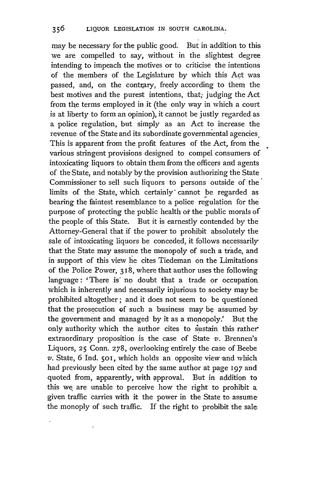may be necessary for the public good. But in addition to this we are compelled to say, without in the slightest degree intending to impeach the motives or to criticise the intentions of the members of the Legislature by which this Act was passed, and, on the contrary, freely according to them the best motives and the purest intentions, that; judging the Act from the terms employed in it (the only way in which a court is at liberty to form an opinion), it cannot be justly regarded as a police regulation, but simply as an Act to increase the revenue of the State and its subordinate governmental agencies. This is apparent from the profit features of the Act, from the various stringent provisions designed to compel consumers of intoxicating liquors to obtain them from the officers and agents of the State, and notably by the provision authorizing the State Commissioner to sell such liquors to persons outside of the limits of the State, which certainly cannot be regarded as bearing the faintest resemblance to a police regulation for the purpose of protecting the public health of the public morals of the people of this State. But it is earnestly contended by the Attorney-General that if the power to prohibit absolutely the sale of intoxicating liquors be conceded, it follows necessarily that the State may assume the monopoly of such a trade, and in support of this view he cites Tiedeman on the Limitations of the Police Power, 3 18, where that author uses the following language: 'There is' no doubt that a trade or occupation which is inherently and necessarily injurious to society may be prohibited altogether; and it does not seem to be questioned that the prosecution **of** such a business may be assumed by the government and managed by it as a monopoly.' But the only authority which the author cites to sustain this rather extraordinary proposition is the case of State *v.* Brennen's Liquors, **25** Conn. 278, overlooking entirely the case of Beebe  $v$ . State, 6 Ind. 501, which holds an opposite view and which had previously been cited by the same author at page **197** and quoted from, apparently, with approval. But in addition to this we are unable to perceive how the right to prohibit a given traffic carries with it the power in the State to assume the monoply of such traffic. If the right to probibit the sale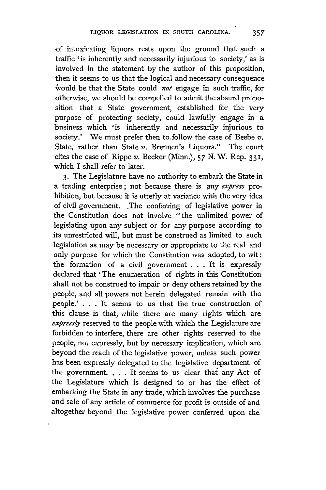of intoxicating liquors rests upon the ground that such a traffic ' is inherently and necessarily injurious to society,' as is involved in the statement by the author of this proposition, then it seems to us that the logical and necessary consequence ivould be that the State could *not* engage in such traffic, for otherwise, we should be compelled to admit the absurd proposition that a State government, established for the very purpose of protecting society, could lawfully engage in a business which 'is inherently and necessarily injurious to society.' We must prefer then to follow the case of Beebe  $v$ . State, rather than State  $v$ . Brennen's Liquors." The court cites the case of Rippe v. Becker (Minn.), 57 N. W. Rep. **331,** which I shall refer to later.

**3.** The Legislature have no authority to embark the State in a trading enterprise; not because there is any *express* prohibition, but because it is utterly at variance with the very idea of civil government. .The conferring of legislative power in the Constitution does not involve "the unlimited power of legislating upon any subject or for any purpose according to its unrestricted will, but must be construed as limited to such legislation as may be necessary or appropriate to the real and only purpose for which the Constitution was adopted, to wit: the formation of a civil government **. .** . It is expressly declared that 'The enumeration of rights in this Constitution shall not be construed to impair or deny others retained by the people, and all powers not herein delegated remain with the people.' . . . It seems to us that the true construction of this clause is that, while there are many rights which are *expressly* reserved to the people with which the Legislature are forbidden to interfere, there are other rights reserved to the people, not expressly, but by necessary implication, which are beyond the reach of the legislative power, unless such power has been expressly delegated to the legislative department of the government. . . It seems to us clear that any Act of the Legislature which is designed to or has the effect of embarking the State in any trade, which involves the purchase and sale of any article of commerce for profit is outside of and altogether beyond the legislative power conferred upon the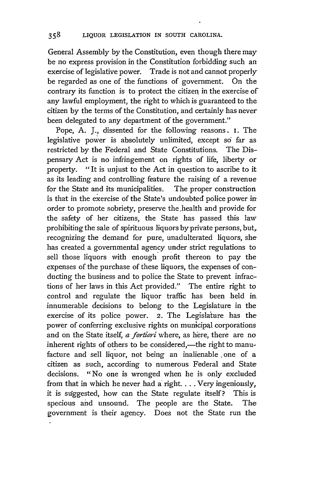General Assembly by the Constitution, even though there may be no express provision in the Constitution forbidding such an exercise of legislative power. Trade is not and cannot properly be regarded as one of the functions of government. On the contrary its function is to protect the citizen in the exercise of any lawful employment, the right to which is guaranteed to the citizen by the terms of the Constitution, and certainly has never been delegated to any department of the government."

Pope, A. J., dissented for the following reasons. I. The legislative power is absolutely unlimited, except so far as restricted by the Federal and State Constitutions. The Dispensary Act is no infringement on rights of life, liberty or property. "It is unjust to the Act in question to ascribe to it as its leading and controlling feature the raising of a revenue for the State and its municipalities. The proper construction is that in the exercise of the State's undoubted police power in order to promote sobriety, preserve the.health and provide for the safety of her citizens, the State has passed this law prohibiting the sale of spirituous liquors by private persons, but, recognizing the demand for pure, unadulterated liquors, she has created a governmental agency under strict regulations to sell those liquors with enough profit thereon to pay the expenses of the purchase of these liquors, the expenses of conducting the business and to police the State to prevent infractions of her laws in this Act provided." The entire right to control and regulate the liquor traffic has been held in innumerable decisions to belong to the Legislature in the exercise of its police power. 2. The Legislature has the power of conferring exclusive rights on municipal corporations and on the State itself, *a fortiori* where, as here, there are no inherent rights of others to be considered,—the right to manufacture and sell liquor, not being an inalienable one of a citizen as such, according to numerous Federal and State decisions. "No one is wronged when he is only excluded from that in which he never had a right **....** Very ingeniously, it is suggested, how can the State regulate itself? This is specious and unsound. The people are the State. The government is their agency. Does not the State run the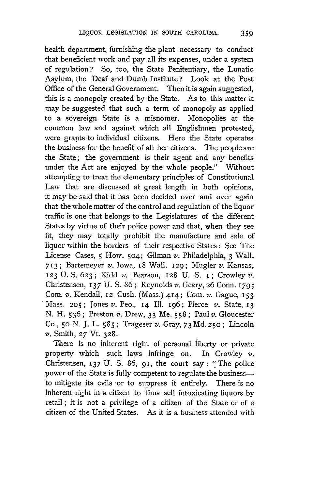health department, furnishing the plant necessary to conduct that beneficient work and pay all its expenses, under a system of regulation? So, too, the State Penitentiary, the Lunatic Asylum, the Deaf and Dumb Institute? Look at the Post Office of the General Government. 'Then it is again suggested, this is a monopoly created by the State. As to this matter it may be suggested that such a term of monopoly as applied to a sovereign State is a misnomer. Monopolies at the common law and against which all Englishmen protested, were grants to individual citizens. Here the State operates the business for the benefit of all her citizens. The people are the State; the government is their agent and any benefits under the Act are enjoyed by the whole people." Without attempting to treat the elementary principles of Constitutional Law that are discussed at great length in both opinions, it may be said that it has been decided over and over again that the whole matter of the control and regulation of the liquor traffic is one that belongs to the Legislatures of the different States by virtue of their police power and that, when they see fit, they may totally prohibit the manufacture and sale of liquor within the borders of their respective States: See The License Cases, 5 How. 504; Gilman v. Philadelphia, 3 Wall. **713;** Bartemeyer **v.** Iowa, 18 Wall. 129; Mugler *v.* Kansas, 123 U. S. 623; Kidd v. Pearson, 128 U. S. I; Crowley v. Christensen, 137 U. **S.** 86; Reynolds *v.* Geary, 26 Conn. **179;** Com. *v.* Kendall, 12 Cush. (Mass.) 414; Com. *v.* Gague, 153 Mass. **205;** Jones v. Peo., 14 Ill. 196; Pierce v. State, **13** N. H. 536; Preston *v*. Drew, 33 Me. 558; Paul *v*. Gloucester Co., 50 N. J. L. **585** ; Trageser v. Gray, 73 *Md.* 250; Lincoln *v.* Smith, **27** Vt. 328.

There is no inherent right of personal liberty or private property which such laws infringe on. In Crowley *v.* Christensen, **137** U. S. 86, **91,** the court say : "The police power of the State is fully competent to regulate the businessto mitigate its evils -or to suppress it entirely. There is no inherent right in a citizen to thus sell intoxicating liquors by retail ; it is not a privilege of a citizen of the State or of a citizen of the United States. As it is a business attended with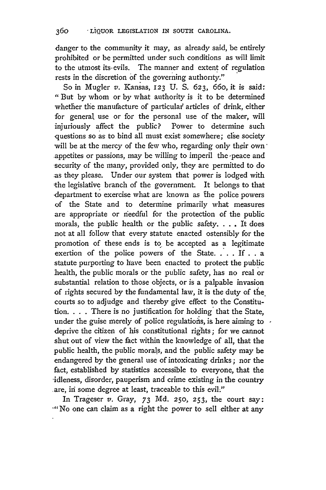danger to the community it may, as already said, be entirely prohibited or be permitted under such conditions as will limit to the utmost its-evils. The manner and extent of regulation rests in the discretion of the governing authority."

So in Mugler *v.* Kansas, **123** U. **S.** 623, 66o, it is said: "But by whom or by what authority is it to be determined whether the manufacture of particular articles of drink, either for general use or for the personal use of the maker, will injuriously affect the public? Power to determine such questions so as to bind all must exist somewhere; else society will be at the mercy of the few who, regarding only their own' .appetites or passions, may be willing to imperil the 'peace and security of the many, provided only, they are permitted to do as they please. Under our system that power is lodged with the legislative branch of the government. It belongs to that department to exercise what are known as the police powers of the State and to determine primarily what measures are appropriate or needful for the protection of the public morals, the public health or the public safety. . **.** . It does not at all follow that every statute enacted ostensibly for the promotion of these ends is to be accepted as a legitimate exertion of the police powers of the State. . . . If . . a statute purporting to have been enacted to protect the public health, the public morals or the public safety, has no real or substantial relation to those objects, or is a palpable invasion of rights secured by the fundamental law, it is the duty of thie courts so to adjudge and thereby give effect to the Constitution .... There is no justification for holding' that the State, under the guise merely of police regulations, is here aiming to  $\cdot$ deprive the citizen of his constitutional rights; for we cannot shut out of view the fact within the knowledge of all, that the public health, the public morals, and the public safety may be endangered by the general use of intoxicating drinks; nor the fact, established by statistics accessible to everyone, that the -idleness, disorder, pauperism and crime existing in the country are, in some degree at least, traceable to this evil."

In Trageser v. Gray, 73 **Md. 250 , 253,** the court say: *•"* No one can claim as a right the power to sell either at any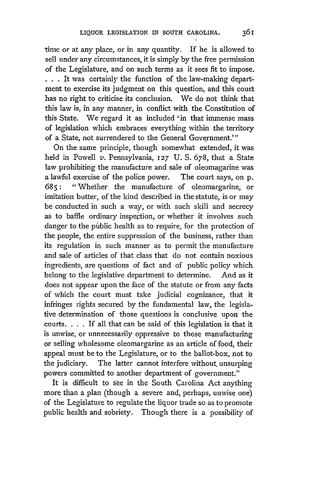time or at any place, or in any quantity. If he is allowed to sell under any circumstances, it is simply by the free permission of the Legislature, and on such terms as it sees fit to impose. **.** . . It was certainly the function of the law-making department to exercise its judgment on this question, and this court has no right to criticise its conclusion. We do not think that this law is, in any manner, in conflict with the Constitution of this State. We regard it as included 'in that immense mass of legislation which embraces everything within the territory of a State, not surrendered to the General Government."'

On the same principle, though somewhat extended, it was held in Powell v. Pennsylvania, **127** U. S. 678, that a State law prohibiting the manufacture and sale of oleomagarine was a lawful exercise of the police power. The court says, on p. 685: "Whether the manufacture of oleomargarine, or imitation butter, of the kind described in the statute, is or may be conducted in such a way, or with such skill and secrecy as to baffle ordinary inspection, or whether it involves such danger to the public health as to require, for the protection of the people, the entire suppression of the business, rather than its regulation in such manner as to permit the manufacture and sale of articles of that class that do not contain noxious ingredients, are questions of fact and of public policy which belong to the legislative department to determine. And as it does not appear upon the face of the statute or from any facts of which the court must take judicial cognizance, that it infringes rights secured by the fundamental law, the legislative determination of those questions is conclusive upon the courts. . **.** . If all that can be said of this legislation is that it is unwise, or unnecessarily oppressive to those manufacturing or selling wholesome oleomargarine as an article of food, their appeal must be to the Legislature, or to the ballot-box, not to the judiciary. The latter cannot interfere without. unsurping powers committed to another department of government."

It is difficult to see in the South Carolina Act anything more than a plan (though a severe and, perhaps, unwise one) of the Legislature to regulate the liquor trade so as to promote public health and sobriety. Though there is a possibility of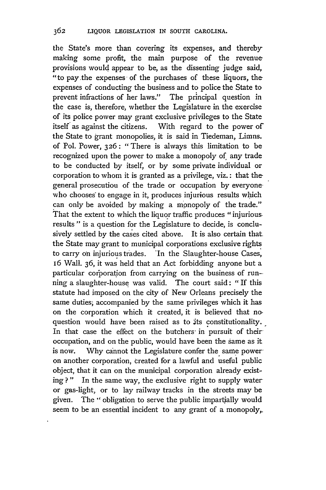the State's more than covering its expenses, and thereby making some profit, the main purpose of the revenue provisions would appear to be, as the dissenting judge said, "to pay the expenses of the purchases of these liquors, the expenses of conducting the business and to police the State to prevent infractions of her laws." The principal question in the case is, therefore, whether the Legislature in the exercise of its police power may grant exclusive privileges to the State itself as against the citizens. With regard to the power of' the State to grant monopolies, it is said in Tiedeman, Limns. of Pol. Power, 326: "There is always this limitation to be recognized upon the power to make a monopoly of any trade to be conducted by itself, or by some private individual or corporation to whom it is granted as a privilege, viz.: that the general prosecutiou of the trade or occupation by everyonewho chooses to engage in it, produces injurious results which can only be avoided by making a monopoly of the trade." That the extent to which the liquor traffic produces "injurious. results" is a question for the Legislature to decide, is conclusively settled by the cases cited above. It is also certain that the State may grant to municipal corporations exclusive rights to carry on injurious trades. 'In the Slaughter-house Cases, 16 Wall. 36, it was held that an Act forbidding anyone but a particular corporation from carrying on the business of running a slaughter-house was valid. The court said: *"If* this statute had imposed on the city of New Orleans precisely the same duties; accompanied by the same privileges which it has on the corporation which it created, it is believed that no. question would have been raised as to its constitutionality. In that case the effect on the butchers in pursuit of their occupation, and on the public, would have been the same as it is now. Why cannot the Legislature confer the same poweron another corporation, created for a lawful and useful public object, that it can on the municipal corporation already existing **?"** In the same way, the exclusive right to supply water or gas-light, or to lay railway tracks in the streets may be given. The "obligation to serve the public impartially would seem to be an essential incident to any grant of a monopoly,.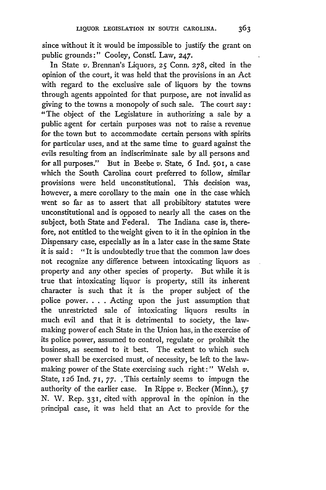since without it it would be impossible to justify the grant on public grounds:" Cooley, Constl. Law, 247.

In State *v.* Brennan's Liquors, **25** Conn. 278, cited in the opinion of the court, it was held that the provisions in an Act with regard to the exclusive sale of liquors by the towns through agents appointed for that purpose, are not invalid as giving to the towns a monopoly of such sale. The court say: "The object of the Legislature in authorizing a sale by a public agent for certain purposes was not to raise a revenue for the town but to accommodate certain persons with spirits for particular uses, and at the same time to guard against the evils resulting from an indiscriminate sale by all persons and for all purposes." But in Beebe v. State, 6 Ind. **501,** a case which the South Carolina court preferred to follow, similar provisions were held unconstitutional. This decision was, however, a mere corollary to the main one in the case which went so far as to assert that all probibitory statutes were unconstitutional and is opposed to nearly all the cases on the subject, both State and Federal. The Indiana case is, therefore, not entitled to the weight given to it in the opinion in the Dispensary case, especially as in a later case in the same State it is said: *"It* is undoubtedly true that the common law does not recognize any difference between intoxicating liquors as property and any other species of property. But while it is true that intoxicating liquor is property, still its inherent character is such that it is the proper subject of the police power. **....** Acting upon the just assumption that the unrestricted sale of intoxicating liquors results in much evil and that it is detrimental to society, the lawmaking power of each State in the Union has, in the exercise of its police power, assumed to control, regulate or prohibit the business, as seemed to it best. The extent to which such power shall be exercised must, of necessity, be left to the lawmaking power of the State exercising such right:" Welsh  $v$ . State, 126 Ind. *71, 77. .*This certainly seems to impugn the authority of the earlier case. In Rippe v. Becker (Minn.), **57** N. W. Rep. 331, cited with approval in the opinion in the principal case, it was held that an Act to provide for the